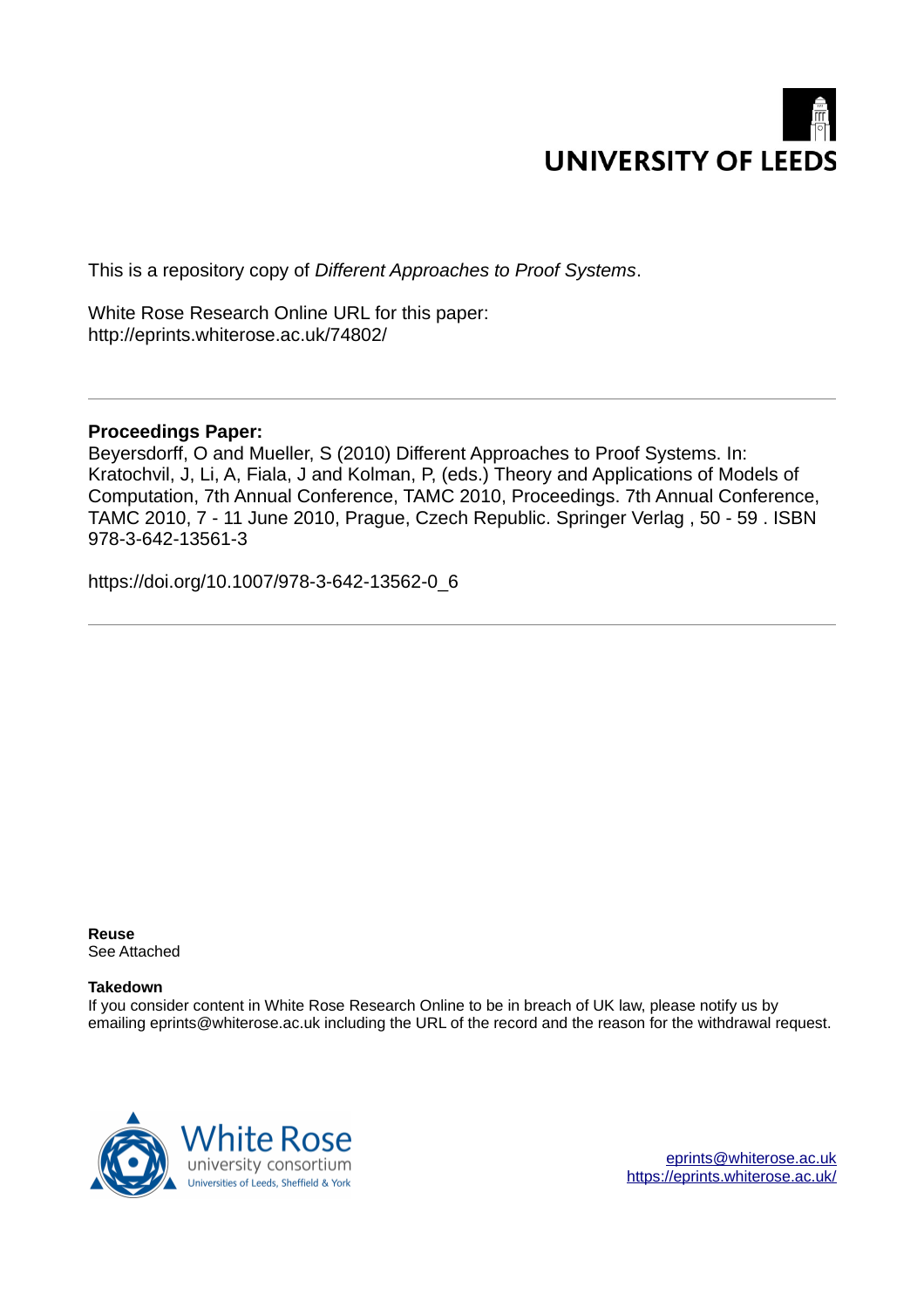

This is a repository copy of *Different Approaches to Proof Systems*.

White Rose Research Online URL for this paper: http://eprints.whiterose.ac.uk/74802/

# **Proceedings Paper:**

Beyersdorff, O and Mueller, S (2010) Different Approaches to Proof Systems. In: Kratochvil, J, Li, A, Fiala, J and Kolman, P, (eds.) Theory and Applications of Models of Computation, 7th Annual Conference, TAMC 2010, Proceedings. 7th Annual Conference, TAMC 2010, 7 - 11 June 2010, Prague, Czech Republic. Springer Verlag , 50 - 59 . ISBN 978-3-642-13561-3

https://doi.org/10.1007/978-3-642-13562-0\_6

**Reuse**  See Attached

## **Takedown**

If you consider content in White Rose Research Online to be in breach of UK law, please notify us by emailing eprints@whiterose.ac.uk including the URL of the record and the reason for the withdrawal request.



[eprints@whiterose.ac.uk](mailto:eprints@whiterose.ac.uk) <https://eprints.whiterose.ac.uk/>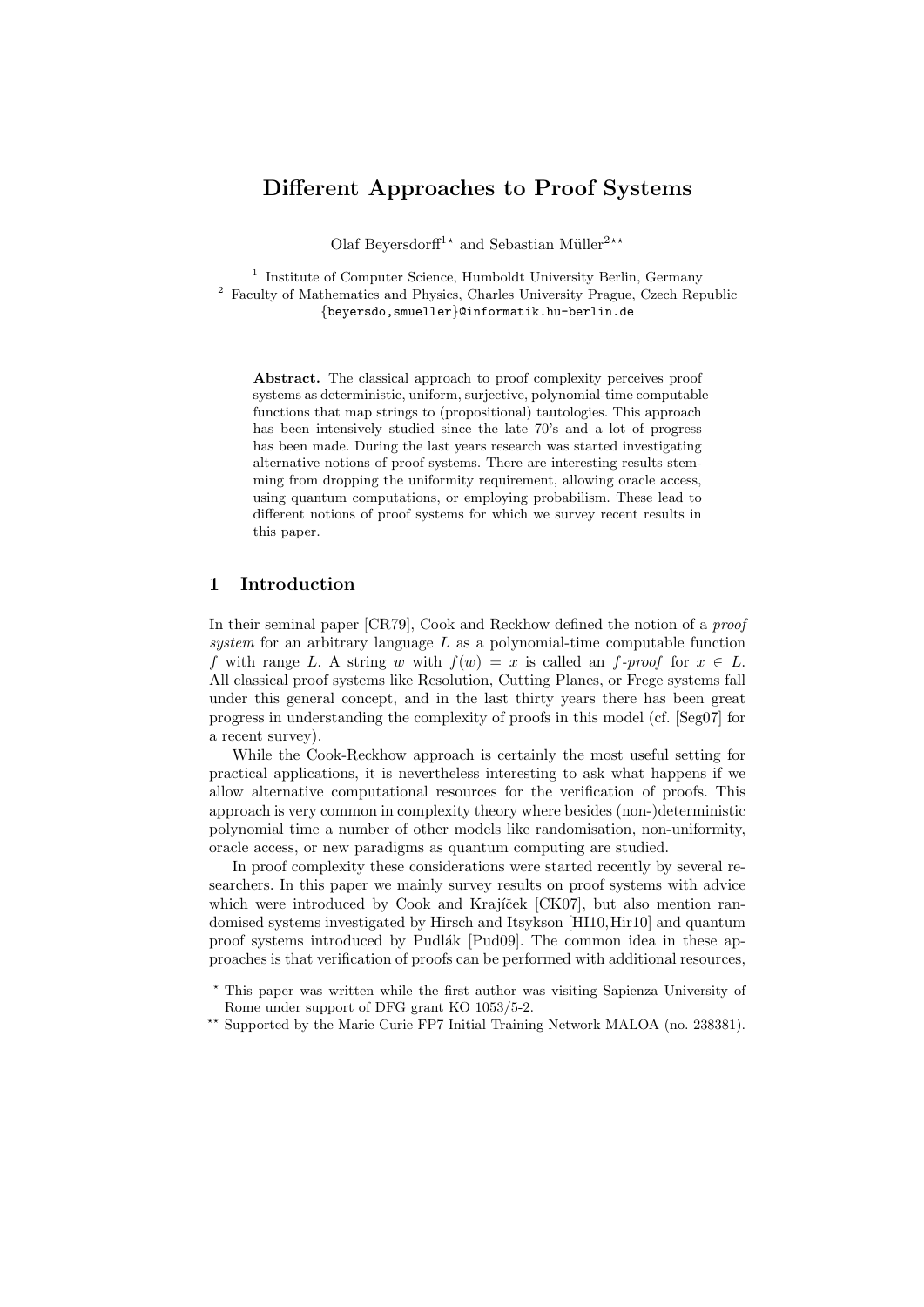# Different Approaches to Proof Systems

Olaf Beyersdorff<sup>1\*</sup> and Sebastian Müller<sup>2\*\*</sup>

<sup>1</sup> Institute of Computer Science, Humboldt University Berlin, Germany <sup>2</sup> Faculty of Mathematics and Physics, Charles University Prague, Czech Republic {beyersdo,smueller}@informatik.hu-berlin.de

Abstract. The classical approach to proof complexity perceives proof systems as deterministic, uniform, surjective, polynomial-time computable functions that map strings to (propositional) tautologies. This approach has been intensively studied since the late 70's and a lot of progress has been made. During the last years research was started investigating alternative notions of proof systems. There are interesting results stemming from dropping the uniformity requirement, allowing oracle access, using quantum computations, or employing probabilism. These lead to different notions of proof systems for which we survey recent results in this paper.

## 1 Introduction

In their seminal paper [CR79], Cook and Reckhow defined the notion of a *proof* system for an arbitrary language  $L$  as a polynomial-time computable function f with range L. A string w with  $f(w) = x$  is called an  $f$ -proof for  $x \in L$ . All classical proof systems like Resolution, Cutting Planes, or Frege systems fall under this general concept, and in the last thirty years there has been great progress in understanding the complexity of proofs in this model (cf. [Seg07] for a recent survey).

While the Cook-Reckhow approach is certainly the most useful setting for practical applications, it is nevertheless interesting to ask what happens if we allow alternative computational resources for the verification of proofs. This approach is very common in complexity theory where besides (non-)deterministic polynomial time a number of other models like randomisation, non-uniformity, oracle access, or new paradigms as quantum computing are studied.

In proof complexity these considerations were started recently by several researchers. In this paper we mainly survey results on proof systems with advice which were introduced by Cook and Krajíček [CK07], but also mention randomised systems investigated by Hirsch and Itsykson [HI10,Hir10] and quantum proof systems introduced by Pudlák [Pud09]. The common idea in these approaches is that verification of proofs can be performed with additional resources,

<sup>★</sup> This paper was written while the first author was visiting Sapienza University of Rome under support of DFG grant KO 1053/5-2.

<sup>\*\*</sup> Supported by the Marie Curie FP7 Initial Training Network MALOA (no. 238381).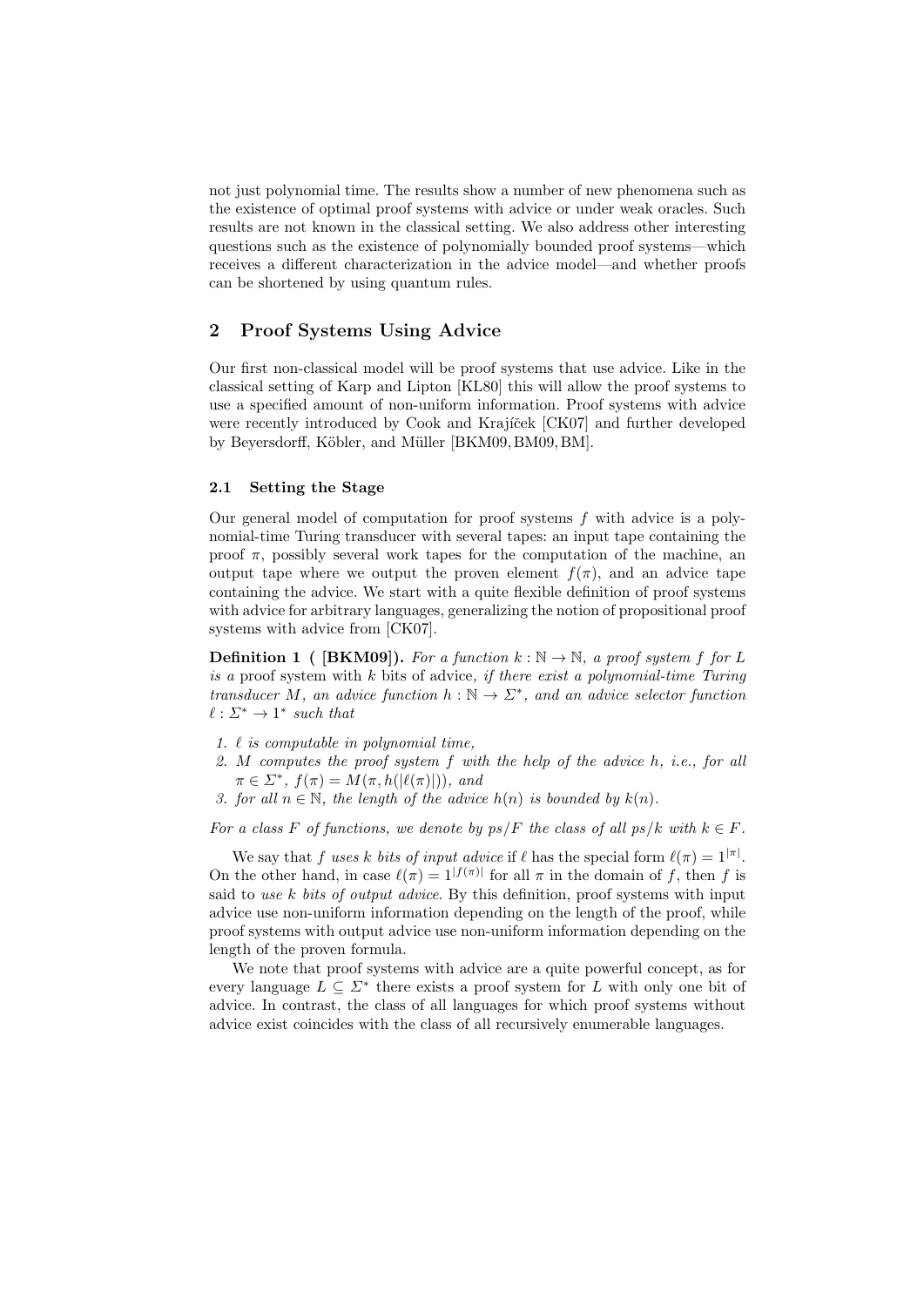not just polynomial time. The results show a number of new phenomena such as the existence of optimal proof systems with advice or under weak oracles. Such results are not known in the classical setting. We also address other interesting questions such as the existence of polynomially bounded proof systems—which receives a different characterization in the advice model—and whether proofs can be shortened by using quantum rules.

## 2 Proof Systems Using Advice

Our first non-classical model will be proof systems that use advice. Like in the classical setting of Karp and Lipton [KL80] this will allow the proof systems to use a specified amount of non-uniform information. Proof systems with advice were recently introduced by Cook and Krajíček [CK07] and further developed by Beyersdorff, Köbler, and Müller [BKM09, BM09, BM].

#### 2.1 Setting the Stage

Our general model of computation for proof systems  $f$  with advice is a polynomial-time Turing transducer with several tapes: an input tape containing the proof  $\pi$ , possibly several work tapes for the computation of the machine, an output tape where we output the proven element  $f(\pi)$ , and an advice tape containing the advice. We start with a quite flexible definition of proof systems with advice for arbitrary languages, generalizing the notion of propositional proof systems with advice from [CK07].

**Definition 1** ( [BKM09]). For a function  $k : \mathbb{N} \to \mathbb{N}$ , a proof system f for L is a proof system with  $k$  bits of advice, if there exist a polynomial-time Turing transducer M, an advice function  $h : \mathbb{N} \to \Sigma^*$ , and an advice selector function  $\ell : \Sigma^* \to 1^*$  such that

- 1.  $\ell$  is computable in polynomial time,
- 2. M computes the proof system  $f$  with the help of the advice  $h$ , i.e., for all  $\pi \in \Sigma^*$ ,  $f(\pi) = M(\pi, h(|\ell(\pi)|))$ , and
- 3. for all  $n \in \mathbb{N}$ , the length of the advice  $h(n)$  is bounded by  $k(n)$ .

For a class F of functions, we denote by  $ps/F$  the class of all  $ps/k$  with  $k \in F$ .

We say that f uses k bits of input advice if  $\ell$  has the special form  $\ell(\pi) = 1^{|\pi|}$ . On the other hand, in case  $\ell(\pi) = 1^{|f(\pi)|}$  for all  $\pi$  in the domain of f, then f is said to use  $k$  bits of output advice. By this definition, proof systems with input advice use non-uniform information depending on the length of the proof, while proof systems with output advice use non-uniform information depending on the length of the proven formula.

We note that proof systems with advice are a quite powerful concept, as for every language  $L \subseteq \Sigma^*$  there exists a proof system for L with only one bit of advice. In contrast, the class of all languages for which proof systems without advice exist coincides with the class of all recursively enumerable languages.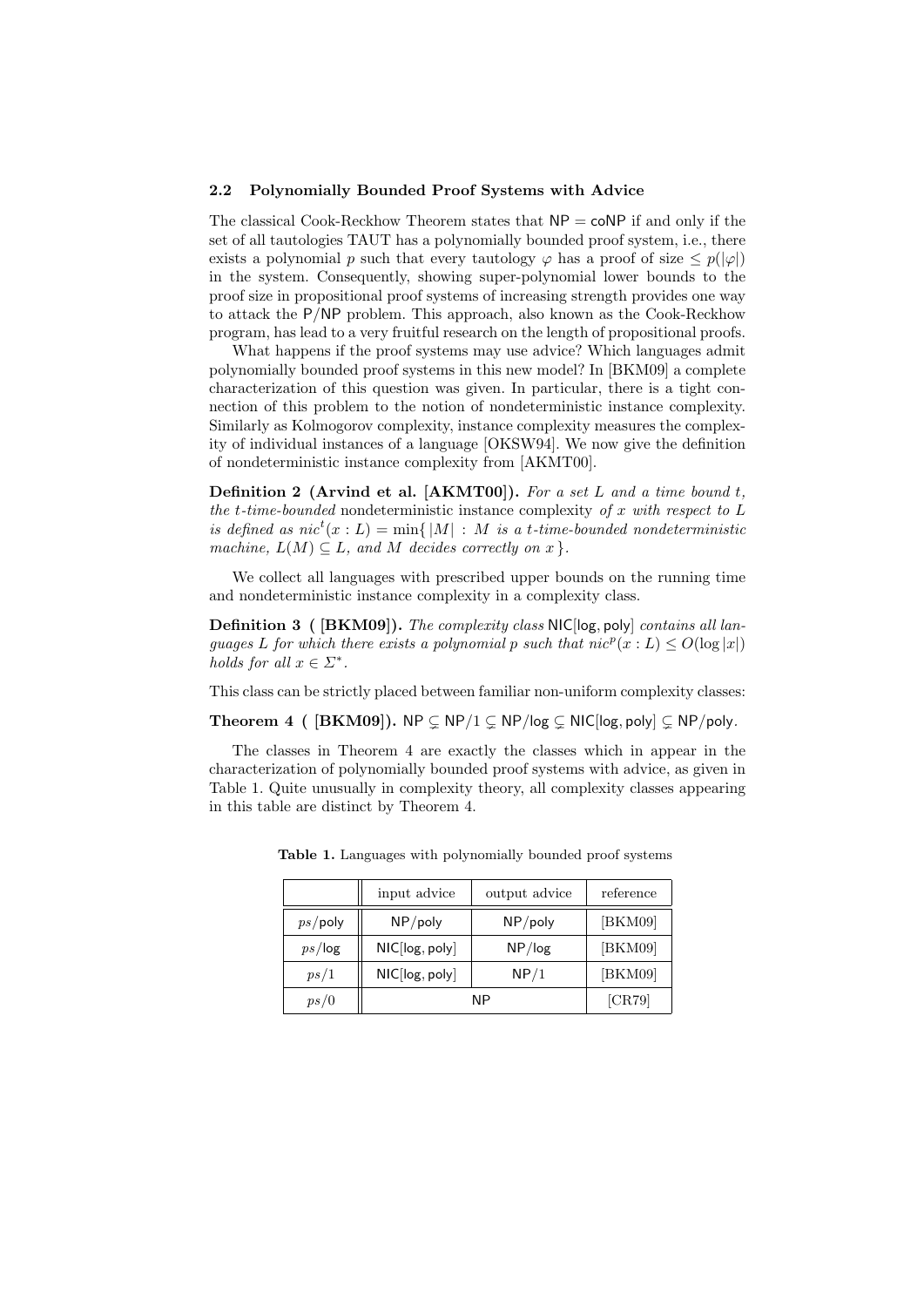#### 2.2 Polynomially Bounded Proof Systems with Advice

The classical Cook-Reckhow Theorem states that  $NP = \text{coNP}$  if and only if the set of all tautologies TAUT has a polynomially bounded proof system, i.e., there exists a polynomial p such that every tautology  $\varphi$  has a proof of size  $\leq p(|\varphi|)$ in the system. Consequently, showing super-polynomial lower bounds to the proof size in propositional proof systems of increasing strength provides one way to attack the P/NP problem. This approach, also known as the Cook-Reckhow program, has lead to a very fruitful research on the length of propositional proofs.

What happens if the proof systems may use advice? Which languages admit polynomially bounded proof systems in this new model? In [BKM09] a complete characterization of this question was given. In particular, there is a tight connection of this problem to the notion of nondeterministic instance complexity. Similarly as Kolmogorov complexity, instance complexity measures the complexity of individual instances of a language [OKSW94]. We now give the definition of nondeterministic instance complexity from [AKMT00].

**Definition 2** (Arvind et al. [AKMT00]). For a set L and a time bound t. the t-time-bounded nondeterministic instance complexity of  $x$  with respect to  $L$ is defined as  $nic^t(x : L) = min\{|M| : M \text{ is a } t\text{-time-bounded nondeterministic}\}$ machine,  $L(M) \subseteq L$ , and M decides correctly on x.

We collect all languages with prescribed upper bounds on the running time and nondeterministic instance complexity in a complexity class.

Definition 3 ( [BKM09]). The complexity class NIC[log, poly] contains all languages L for which there exists a polynomial p such that  $nic^p(x: L) \leq O(\log |x|)$ holds for all  $x \in \Sigma^*$ .

This class can be strictly placed between familiar non-uniform complexity classes:

Theorem 4 (  $[BKM09]$ ). NP  $\subsetneq$  NP/1  $\subsetneq$  NP/log  $\subsetneq$  NIC[log, poly]  $\subsetneq$  NP/poly.

The classes in Theorem 4 are exactly the classes which in appear in the characterization of polynomially bounded proof systems with advice, as given in Table 1. Quite unusually in complexity theory, all complexity classes appearing in this table are distinct by Theorem 4.

|            | input advice   | output advice | reference |
|------------|----------------|---------------|-----------|
| $ps$ /poly | NP/poly        | NP/poly       | [BKM09]   |
| $ps/\log$  | NIC[log, poly] | NP/log        | [BKM09]   |
| ps/1       | NIC[log, poly] | NP/1          | [BKM09]   |
| ps/0       | ΝP             |               | [CR79]    |

Table 1. Languages with polynomially bounded proof systems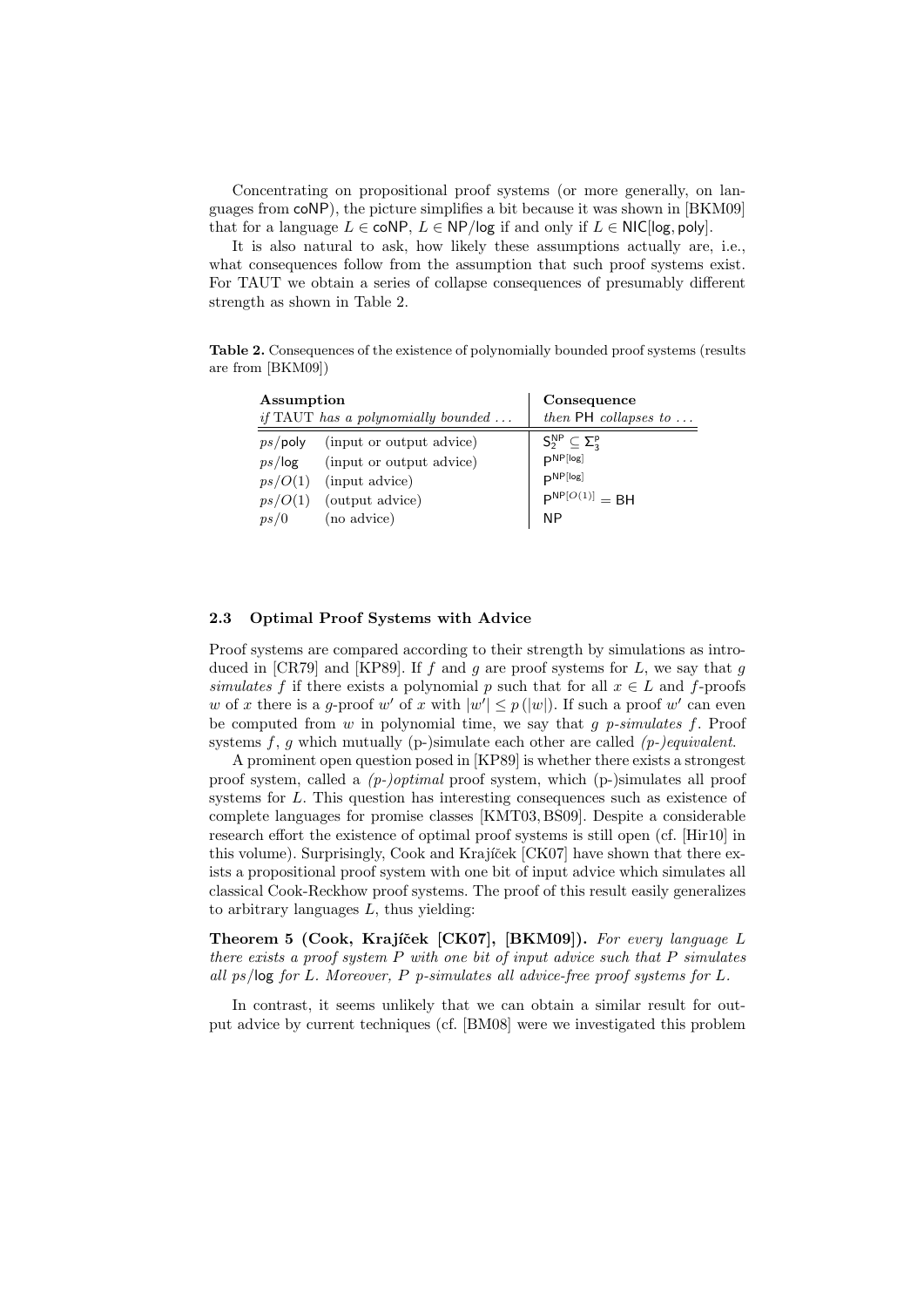Concentrating on propositional proof systems (or more generally, on languages from coNP), the picture simplifies a bit because it was shown in [BKM09] that for a language  $L \in \text{coNP}$ ,  $L \in \text{NP}/\text{log}$  if and only if  $L \in \text{NIC}[\text{log}, \text{poly}].$ 

It is also natural to ask, how likely these assumptions actually are, i.e., what consequences follow from the assumption that such proof systems exist. For TAUT we obtain a series of collapse consequences of presumably different strength as shown in Table 2.

Table 2. Consequences of the existence of polynomially bounded proof systems (results are from [BKM09])

| Assumption                                                                                                                                                        | Consequence                                                                                                                                                   |  |
|-------------------------------------------------------------------------------------------------------------------------------------------------------------------|---------------------------------------------------------------------------------------------------------------------------------------------------------------|--|
| if TAUT has a polynomially bounded $\dots$                                                                                                                        | then $PH$ collapses to $\ldots$                                                                                                                               |  |
| (input or output advice)<br>$ps$ /poly<br>(input or output advice)<br>$ps/\log$<br>ps/O(1)<br>(input advice)<br>(output advice)<br>ps/O(1)<br>(no advice)<br>ps/0 | $S_2^{\text{NP}} \subseteq \Sigma_3^{\text{P}}$<br>$\mathsf{P}^{\sf NP[log]}$<br>$\mathsf{P}^{\mathsf{NP}[\mathsf{log}]}$<br>$P^{NP[O(1)]} = BH$<br><b>NP</b> |  |

#### 2.3 Optimal Proof Systems with Advice

Proof systems are compared according to their strength by simulations as introduced in [CR79] and [KP89]. If f and g are proof systems for  $L$ , we say that g simulates f if there exists a polynomial p such that for all  $x \in L$  and f-proofs w of x there is a g-proof w' of x with  $|w'| \leq p(|w|)$ . If such a proof w' can even be computed from  $w$  in polynomial time, we say that  $q$  p-simulates  $f$ . Proof systems  $f, g$  which mutually (p-)simulate each other are called  $(p$ -)equivalent.

A prominent open question posed in [KP89] is whether there exists a strongest proof system, called a  $(p-)optimal$  proof system, which  $(p-)simulates$  all proof systems for  $L$ . This question has interesting consequences such as existence of complete languages for promise classes [KMT03, BS09]. Despite a considerable research effort the existence of optimal proof systems is still open (cf. [Hir10] in this volume). Surprisingly, Cook and Krajíček [CK07] have shown that there exists a propositional proof system with one bit of input advice which simulates all classical Cook-Reckhow proof systems. The proof of this result easily generalizes to arbitrary languages  $L$ , thus yielding:

Theorem 5 (Cook, Krajíček [CK07], [BKM09]). For every language L there exists a proof system  $P$  with one bit of input advice such that  $P$  simulates all ps/ $log$  for L. Moreover, P p-simulates all advice-free proof systems for L.

In contrast, it seems unlikely that we can obtain a similar result for output advice by current techniques (cf. [BM08] were we investigated this problem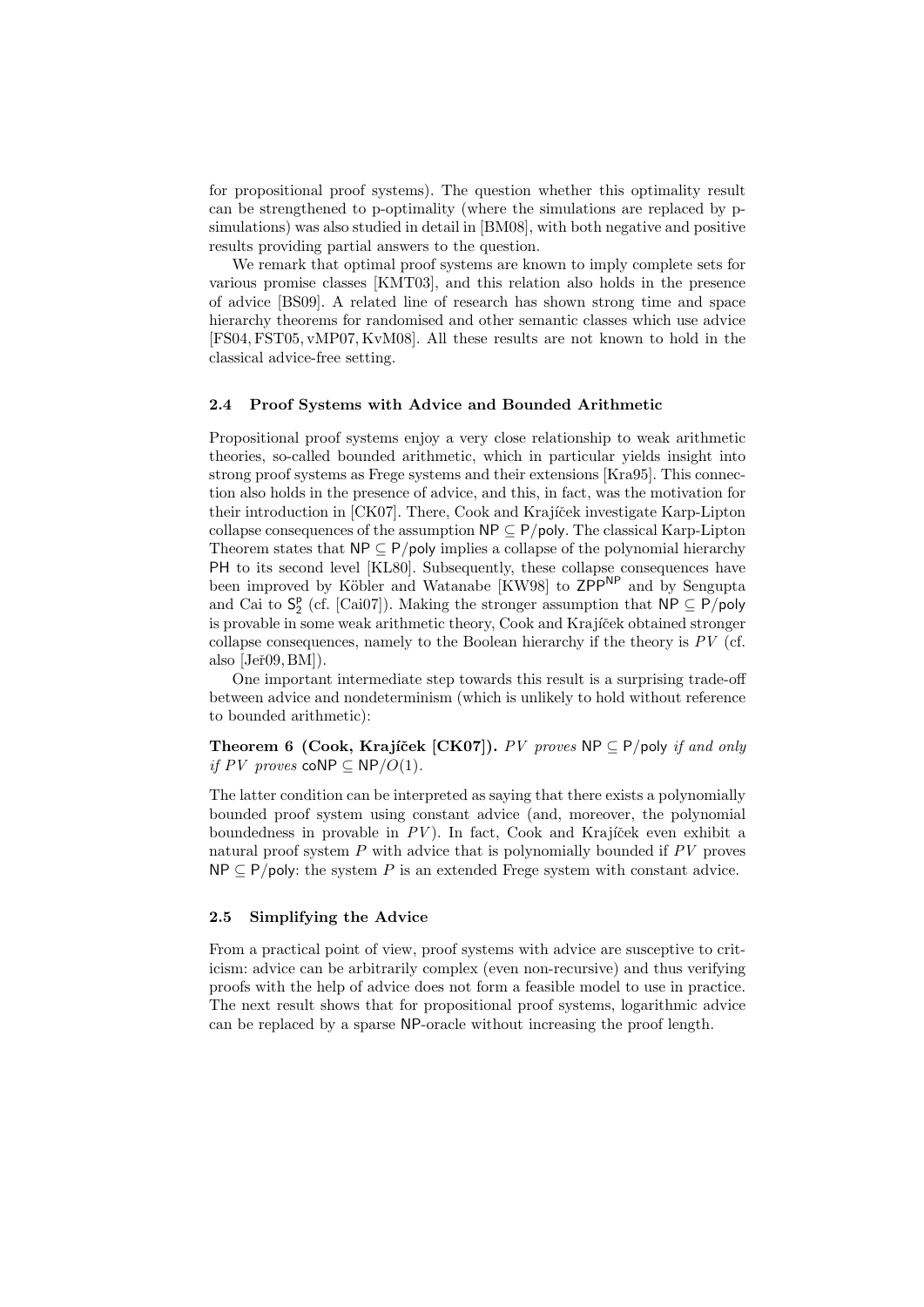for propositional proof systems). The question whether this optimality result can be strengthened to p-optimality (where the simulations are replaced by psimulations) was also studied in detail in [BM08], with both negative and positive results providing partial answers to the question.

We remark that optimal proof systems are known to imply complete sets for various promise classes [KMT03], and this relation also holds in the presence of advice [BS09]. A related line of research has shown strong time and space hierarchy theorems for randomised and other semantic classes which use advice [FS04, FST05, vMP07, KvM08]. All these results are not known to hold in the classical advice-free setting.

#### 2.4 Proof Systems with Advice and Bounded Arithmetic

Propositional proof systems enjoy a very close relationship to weak arithmetic theories, so-called bounded arithmetic, which in particular yields insight into strong proof systems as Frege systems and their extensions [Kra95]. This connection also holds in the presence of advice, and this, in fact, was the motivation for their introduction in [CK07]. There, Cook and Krajíček investigate Karp-Lipton collapse consequences of the assumption  $\mathsf{NP} \subseteq \mathsf{P/poly}$ . The classical Karp-Lipton Theorem states that  $NP \subseteq P/poly$  implies a collapse of the polynomial hierarchy PH to its second level [KL80]. Subsequently, these collapse consequences have been improved by Köbler and Watanabe [KW98] to ZPP<sup>NP</sup> and by Sengupta and Cai to  $S_2^p$  (cf. [Cai07]). Making the stronger assumption that  $NP \subseteq P/poly$ is provable in some weak arithmetic theory, Cook and Krajíček obtained stronger collapse consequences, namely to the Boolean hierarchy if the theory is  $PV$  (cf. also  $[Je\check{r}09,BM]$ ).

One important intermediate step towards this result is a surprising trade-off between advice and nondeterminism (which is unlikely to hold without reference to bounded arithmetic):

Theorem 6 (Cook, Krajíček [CK07]). PV proves NP  $\subseteq$  P/poly if and only if PV proves  $\text{coNP} \subseteq \text{NP}/O(1)$ .

The latter condition can be interpreted as saying that there exists a polynomially bounded proof system using constant advice (and, moreover, the polynomial boundedness in provable in  $PV$ ). In fact, Cook and Krajíček even exhibit a natural proof system  $P$  with advice that is polynomially bounded if  $PV$  proves  $NP \subseteq P/poly$ : the system P is an extended Frege system with constant advice.

#### 2.5 Simplifying the Advice

From a practical point of view, proof systems with advice are susceptive to criticism: advice can be arbitrarily complex (even non-recursive) and thus verifying proofs with the help of advice does not form a feasible model to use in practice. The next result shows that for propositional proof systems, logarithmic advice can be replaced by a sparse NP-oracle without increasing the proof length.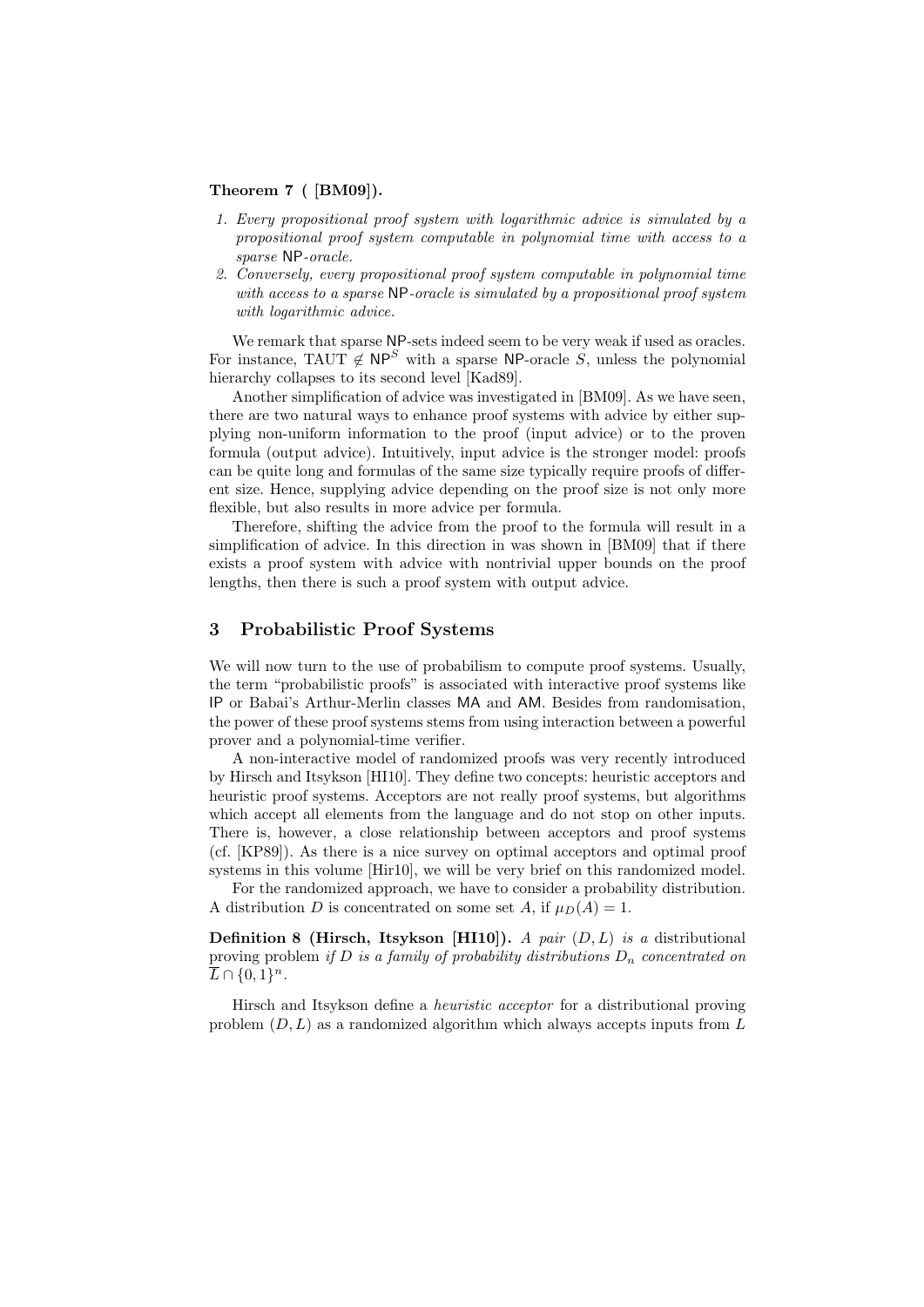#### Theorem 7 ( [BM09]).

- 1. Every propositional proof system with logarithmic advice is simulated by a propositional proof system computable in polynomial time with access to a sparse NP-oracle.
- 2. Conversely, every propositional proof system computable in polynomial time with access to a sparse NP-oracle is simulated by a propositional proof system with logarithmic advice.

We remark that sparse NP-sets indeed seem to be very weak if used as oracles. For instance, TAUT  $\notin$  NP<sup>S</sup> with a sparse NP-oracle S, unless the polynomial hierarchy collapses to its second level [Kad89].

Another simplification of advice was investigated in [BM09]. As we have seen, there are two natural ways to enhance proof systems with advice by either supplying non-uniform information to the proof (input advice) or to the proven formula (output advice). Intuitively, input advice is the stronger model: proofs can be quite long and formulas of the same size typically require proofs of different size. Hence, supplying advice depending on the proof size is not only more flexible, but also results in more advice per formula.

Therefore, shifting the advice from the proof to the formula will result in a simplification of advice. In this direction in was shown in [BM09] that if there exists a proof system with advice with nontrivial upper bounds on the proof lengths, then there is such a proof system with output advice.

## 3 Probabilistic Proof Systems

We will now turn to the use of probabilism to compute proof systems. Usually, the term "probabilistic proofs" is associated with interactive proof systems like IP or Babai's Arthur-Merlin classes MA and AM. Besides from randomisation, the power of these proof systems stems from using interaction between a powerful prover and a polynomial-time verifier.

A non-interactive model of randomized proofs was very recently introduced by Hirsch and Itsykson [HI10]. They define two concepts: heuristic acceptors and heuristic proof systems. Acceptors are not really proof systems, but algorithms which accept all elements from the language and do not stop on other inputs. There is, however, a close relationship between acceptors and proof systems (cf. [KP89]). As there is a nice survey on optimal acceptors and optimal proof systems in this volume [Hir10], we will be very brief on this randomized model.

For the randomized approach, we have to consider a probability distribution. A distribution D is concentrated on some set A, if  $\mu_D(A) = 1$ .

**Definition 8 (Hirsch, Itsykson [HI10]).** A pair  $(D, L)$  is a distributional proving problem if  $D$  is a family of probability distributions  $D_n$  concentrated on  $\overline{L} \cap \{0,1\}^n$ .

Hirsch and Itsykson define a heuristic acceptor for a distributional proving problem  $(D, L)$  as a randomized algorithm which always accepts inputs from L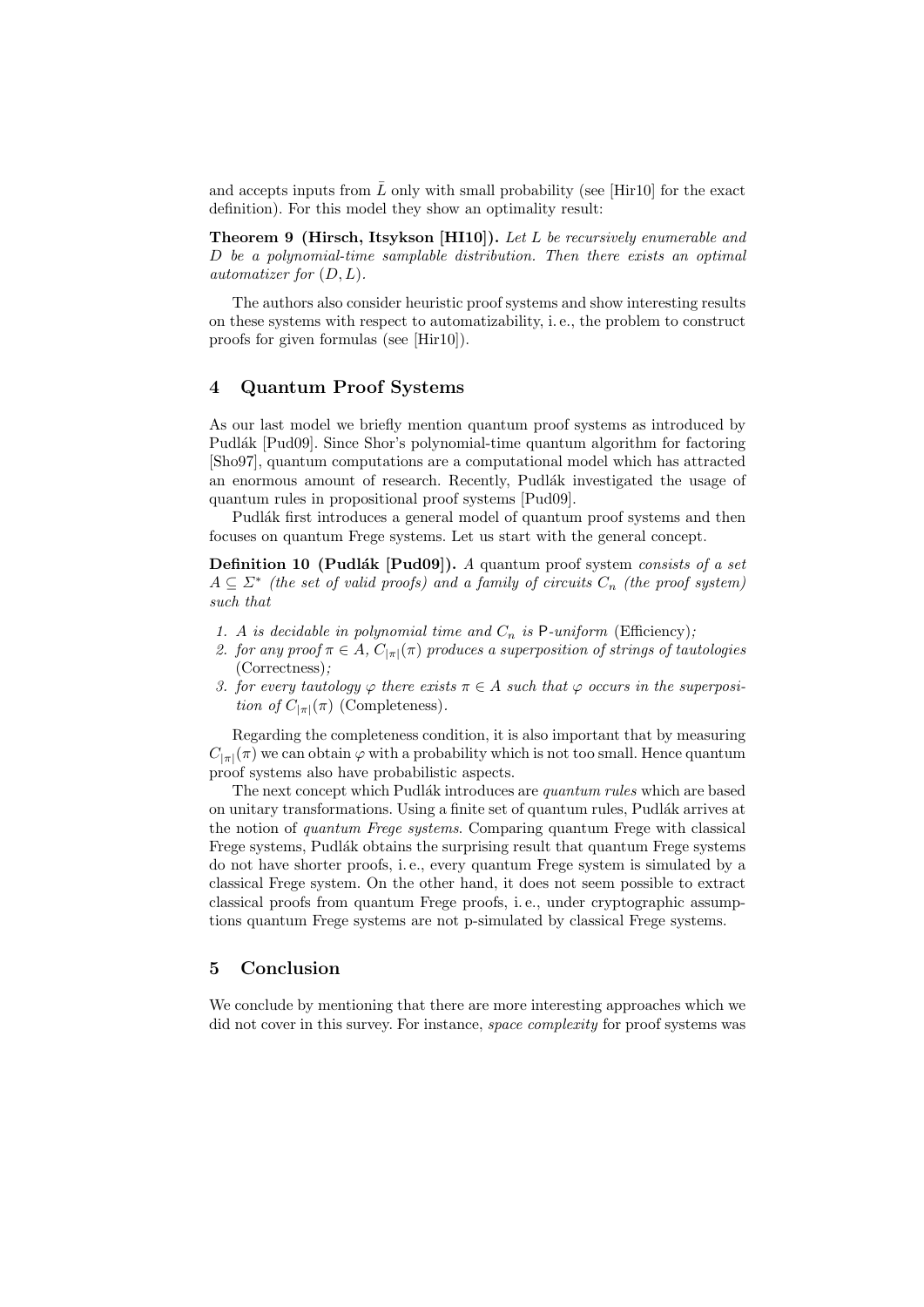and accepts inputs from  $\overline{L}$  only with small probability (see [Hir10] for the exact definition). For this model they show an optimality result:

**Theorem 9 (Hirsch, Itsykson [HI10]).** Let  $L$  be recursively enumerable and  $D$  be a polynomial-time samplable distribution. Then there exists an optimal automatizer for  $(D, L)$ .

The authors also consider heuristic proof systems and show interesting results on these systems with respect to automatizability, i. e., the problem to construct proofs for given formulas (see [Hir10]).

### 4 Quantum Proof Systems

As our last model we briefly mention quantum proof systems as introduced by Pudlák [Pud09]. Since Shor's polynomial-time quantum algorithm for factoring [Sho97], quantum computations are a computational model which has attracted an enormous amount of research. Recently, Pudlák investigated the usage of quantum rules in propositional proof systems [Pud09].

Pudlák first introduces a general model of quantum proof systems and then focuses on quantum Frege systems. Let us start with the general concept.

**Definition 10 (Pudlák [Pud09]).** A quantum proof system consists of a set  $A \subseteq \Sigma^*$  (the set of valid proofs) and a family of circuits  $C_n$  (the proof system) such that

- 1. A is decidable in polynomial time and  $C_n$  is P-uniform (Efficiency);
- 2. for any proof  $\pi \in A$ ,  $C_{|\pi|}(\pi)$  produces a superposition of strings of tautologies (Correctness);
- 3. for every tautology  $\varphi$  there exists  $\pi \in A$  such that  $\varphi$  occurs in the superposition of  $C_{|\pi|}(\pi)$  (Completeness).

Regarding the completeness condition, it is also important that by measuring  $C_{|\pi|}(\pi)$  we can obtain  $\varphi$  with a probability which is not too small. Hence quantum proof systems also have probabilistic aspects.

The next concept which Pudlák introduces are *quantum rules* which are based on unitary transformations. Using a finite set of quantum rules, Pudlák arrives at the notion of quantum Frege systems. Comparing quantum Frege with classical Frege systems, Pudlák obtains the surprising result that quantum Frege systems do not have shorter proofs, i. e., every quantum Frege system is simulated by a classical Frege system. On the other hand, it does not seem possible to extract classical proofs from quantum Frege proofs, i. e., under cryptographic assumptions quantum Frege systems are not p-simulated by classical Frege systems.

## 5 Conclusion

We conclude by mentioning that there are more interesting approaches which we did not cover in this survey. For instance, *space complexity* for proof systems was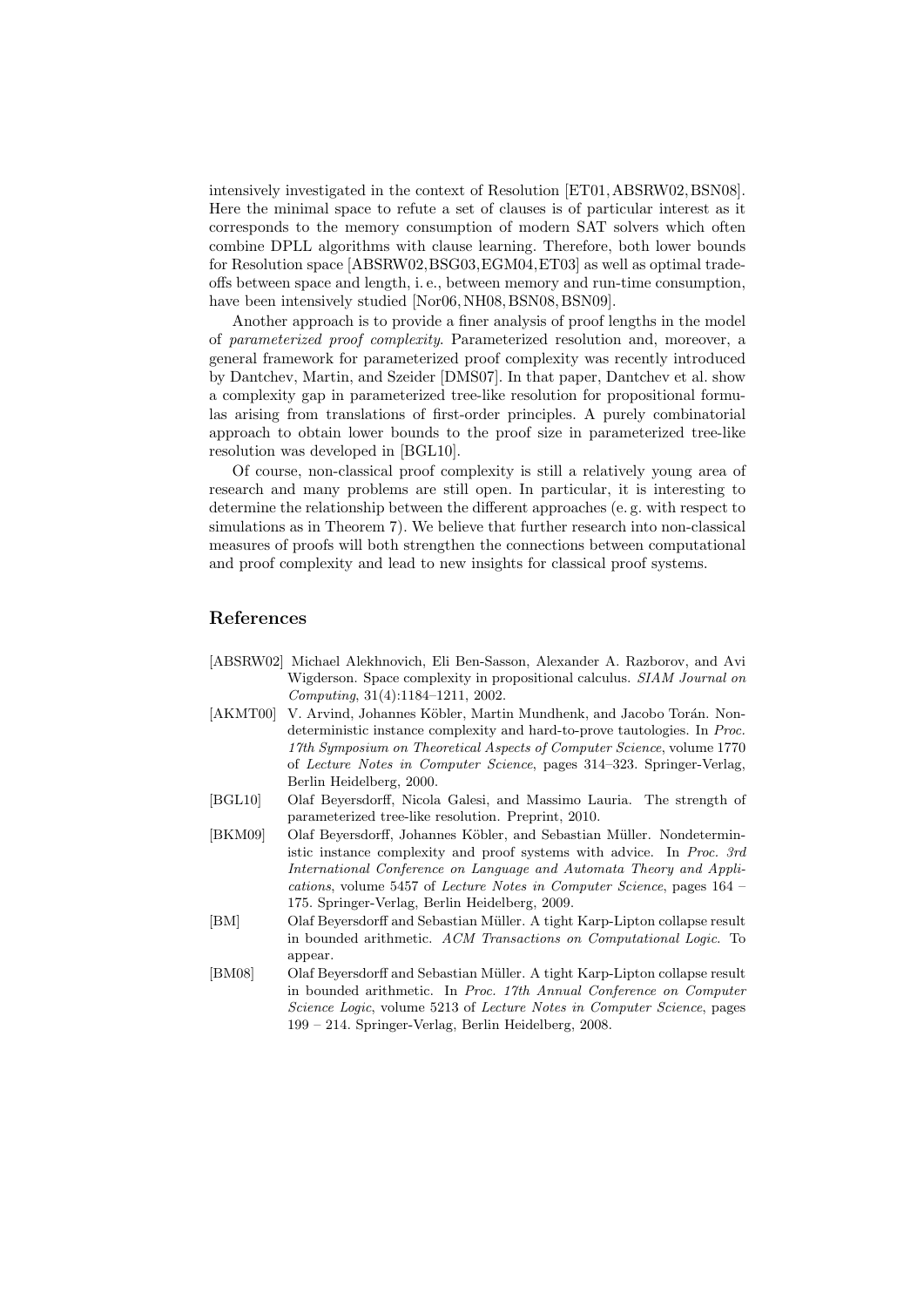intensively investigated in the context of Resolution [ET01, ABSRW02, BSN08]. Here the minimal space to refute a set of clauses is of particular interest as it corresponds to the memory consumption of modern SAT solvers which often combine DPLL algorithms with clause learning. Therefore, both lower bounds for Resolution space [ABSRW02,BSG03,EGM04,ET03] as well as optimal tradeoffs between space and length, i. e., between memory and run-time consumption, have been intensively studied [Nor06, NH08, BSN08, BSN09].

Another approach is to provide a finer analysis of proof lengths in the model of parameterized proof complexity. Parameterized resolution and, moreover, a general framework for parameterized proof complexity was recently introduced by Dantchev, Martin, and Szeider [DMS07]. In that paper, Dantchev et al. show a complexity gap in parameterized tree-like resolution for propositional formulas arising from translations of first-order principles. A purely combinatorial approach to obtain lower bounds to the proof size in parameterized tree-like resolution was developed in [BGL10].

Of course, non-classical proof complexity is still a relatively young area of research and many problems are still open. In particular, it is interesting to determine the relationship between the different approaches (e. g. with respect to simulations as in Theorem 7). We believe that further research into non-classical measures of proofs will both strengthen the connections between computational and proof complexity and lead to new insights for classical proof systems.

## References

- [ABSRW02] Michael Alekhnovich, Eli Ben-Sasson, Alexander A. Razborov, and Avi Wigderson. Space complexity in propositional calculus. SIAM Journal on Computing, 31(4):1184–1211, 2002.
- [AKMT00] V. Arvind, Johannes Köbler, Martin Mundhenk, and Jacobo Torán. Nondeterministic instance complexity and hard-to-prove tautologies. In Proc. 17th Symposium on Theoretical Aspects of Computer Science, volume 1770 of Lecture Notes in Computer Science, pages 314–323. Springer-Verlag, Berlin Heidelberg, 2000.
- [BGL10] Olaf Beyersdorff, Nicola Galesi, and Massimo Lauria. The strength of parameterized tree-like resolution. Preprint, 2010.
- [BKM09] Olaf Beyersdorff, Johannes Köbler, and Sebastian Müller. Nondeterministic instance complexity and proof systems with advice. In Proc. 3rd International Conference on Language and Automata Theory and Applications, volume 5457 of Lecture Notes in Computer Science, pages 164 – 175. Springer-Verlag, Berlin Heidelberg, 2009.
- [BM] Olaf Beyersdorff and Sebastian Müller. A tight Karp-Lipton collapse result in bounded arithmetic. ACM Transactions on Computational Logic. To appear.
- [BM08] Olaf Beyersdorff and Sebastian Müller. A tight Karp-Lipton collapse result in bounded arithmetic. In Proc. 17th Annual Conference on Computer Science Logic, volume 5213 of Lecture Notes in Computer Science, pages 199 – 214. Springer-Verlag, Berlin Heidelberg, 2008.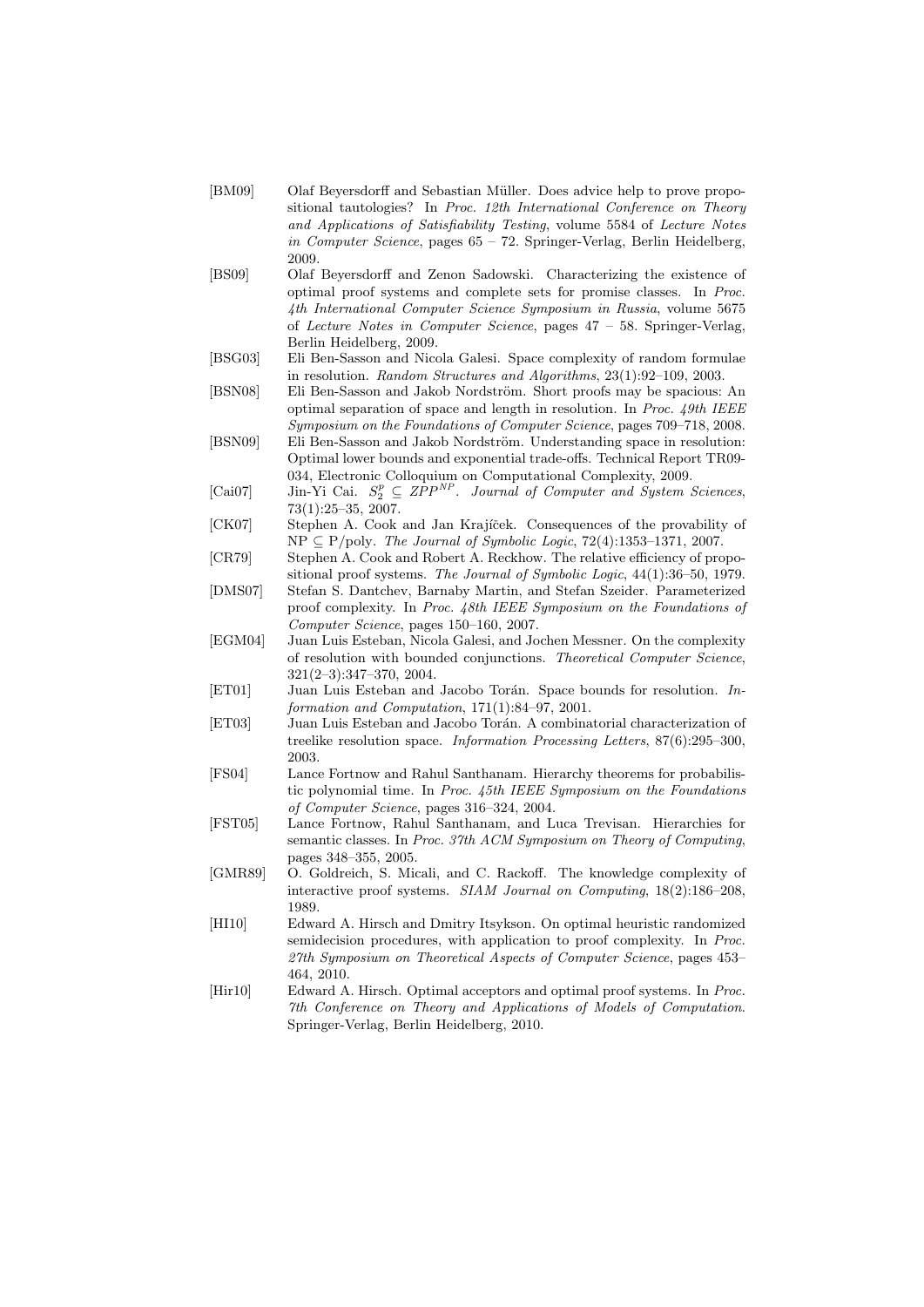| [BM09] | Olaf Beversdorff and Sebastian Müller. Does advice help to prove propo-  |
|--------|--------------------------------------------------------------------------|
|        | sitional tautologies? In Proc. 12th International Conference on Theory   |
|        | and Applications of Satisfiability Testing, volume 5584 of Lecture Notes |
|        | in Computer Science, pages 65 – 72. Springer-Verlag, Berlin Heidelberg,  |
|        | 2009.                                                                    |

- [BS09] Olaf Beyersdorff and Zenon Sadowski. Characterizing the existence of optimal proof systems and complete sets for promise classes. In Proc. 4th International Computer Science Symposium in Russia, volume 5675 of Lecture Notes in Computer Science, pages 47 – 58. Springer-Verlag, Berlin Heidelberg, 2009.
- [BSG03] Eli Ben-Sasson and Nicola Galesi. Space complexity of random formulae in resolution. Random Structures and Algorithms, 23(1):92–109, 2003.
- [BSN08] Eli Ben-Sasson and Jakob Nordström. Short proofs may be spacious: An optimal separation of space and length in resolution. In Proc. 49th IEEE Symposium on the Foundations of Computer Science, pages 709–718, 2008.
- [BSN09] Eli Ben-Sasson and Jakob Nordström. Understanding space in resolution: Optimal lower bounds and exponential trade-offs. Technical Report TR09- 034, Electronic Colloquium on Computational Complexity, 2009.
- [Cai07] Jin-Yi Cai.  $S_2^p \subseteq ZPP^{NP}$ . Journal of Computer and System Sciences, 73(1):25–35, 2007.
- [CK07] Stephen A. Cook and Jan Krajíček. Consequences of the provability of  $NP \subseteq P/poly$ . The Journal of Symbolic Logic, 72(4):1353-1371, 2007.
- [CR79] Stephen A. Cook and Robert A. Reckhow. The relative efficiency of propositional proof systems. The Journal of Symbolic Logic, 44(1):36–50, 1979.
- [DMS07] Stefan S. Dantchev, Barnaby Martin, and Stefan Szeider. Parameterized proof complexity. In Proc. 48th IEEE Symposium on the Foundations of Computer Science, pages 150–160, 2007.
- [EGM04] Juan Luis Esteban, Nicola Galesi, and Jochen Messner. On the complexity of resolution with bounded conjunctions. Theoretical Computer Science, 321(2–3):347–370, 2004.
- [ET01] Juan Luis Esteban and Jacobo Torán. Space bounds for resolution. Information and Computation, 171(1):84–97, 2001.
- [ET03] Juan Luis Esteban and Jacobo Tor´an. A combinatorial characterization of treelike resolution space. Information Processing Letters, 87(6):295–300, 2003.
- [FS04] Lance Fortnow and Rahul Santhanam. Hierarchy theorems for probabilistic polynomial time. In Proc. 45th IEEE Symposium on the Foundations of Computer Science, pages 316–324, 2004.
- [FST05] Lance Fortnow, Rahul Santhanam, and Luca Trevisan. Hierarchies for semantic classes. In Proc. 37th ACM Symposium on Theory of Computing, pages 348–355, 2005.
- [GMR89] O. Goldreich, S. Micali, and C. Rackoff. The knowledge complexity of interactive proof systems. SIAM Journal on Computing, 18(2):186–208, 1989.
- [HI10] Edward A. Hirsch and Dmitry Itsykson. On optimal heuristic randomized semidecision procedures, with application to proof complexity. In Proc. 27th Symposium on Theoretical Aspects of Computer Science, pages 453– 464, 2010.
- [Hir10] Edward A. Hirsch. Optimal acceptors and optimal proof systems. In Proc. 7th Conference on Theory and Applications of Models of Computation. Springer-Verlag, Berlin Heidelberg, 2010.